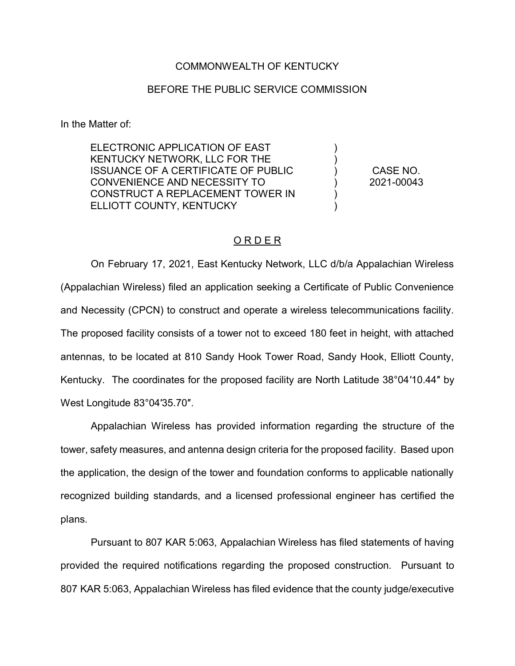## COMMONWEALTH OF KENTUCKY

## BEFORE THE PUBLIC SERVICE COMMISSION

In the Matter of:

ELECTRONIC APPLICATION OF EAST KENTUCKY NETWORK, LLC FOR THE ISSUANCE OF A CERTIFICATE OF PUBLIC CONVENIENCE AND NECESSITY TO CONSTRUCT A REPLACEMENT TOWER IN ELLIOTT COUNTY, KENTUCKY

CASE NO. 2021-00043

) ) ) ) ) )

## O R D E R

On February 17, 2021, East Kentucky Network, LLC d/b/a Appalachian Wireless (Appalachian Wireless) filed an application seeking a Certificate of Public Convenience and Necessity (CPCN) to construct and operate a wireless telecommunications facility. The proposed facility consists of a tower not to exceed 180 feet in height, with attached antennas, to be located at 810 Sandy Hook Tower Road, Sandy Hook, Elliott County, Kentucky. The coordinates for the proposed facility are North Latitude 38°04′10.44″ by West Longitude 83°04′35.70″.

Appalachian Wireless has provided information regarding the structure of the tower, safety measures, and antenna design criteria for the proposed facility. Based upon the application, the design of the tower and foundation conforms to applicable nationally recognized building standards, and a licensed professional engineer has certified the plans.

Pursuant to 807 KAR 5:063, Appalachian Wireless has filed statements of having provided the required notifications regarding the proposed construction. Pursuant to 807 KAR 5:063, Appalachian Wireless has filed evidence that the county judge/executive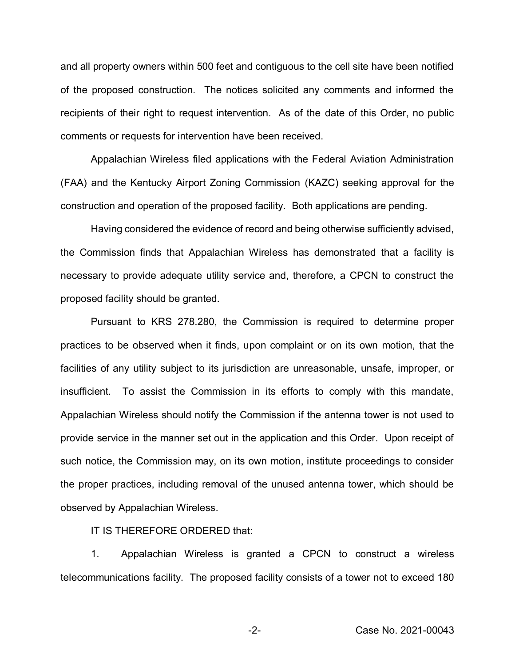and all property owners within 500 feet and contiguous to the cell site have been notified of the proposed construction. The notices solicited any comments and informed the recipients of their right to request intervention. As of the date of this Order, no public comments or requests for intervention have been received.

Appalachian Wireless filed applications with the Federal Aviation Administration (FAA) and the Kentucky Airport Zoning Commission (KAZC) seeking approval for the construction and operation of the proposed facility. Both applications are pending.

Having considered the evidence of record and being otherwise sufficiently advised, the Commission finds that Appalachian Wireless has demonstrated that a facility is necessary to provide adequate utility service and, therefore, a CPCN to construct the proposed facility should be granted.

Pursuant to KRS 278.280, the Commission is required to determine proper practices to be observed when it finds, upon complaint or on its own motion, that the facilities of any utility subject to its jurisdiction are unreasonable, unsafe, improper, or insufficient. To assist the Commission in its efforts to comply with this mandate, Appalachian Wireless should notify the Commission if the antenna tower is not used to provide service in the manner set out in the application and this Order. Upon receipt of such notice, the Commission may, on its own motion, institute proceedings to consider the proper practices, including removal of the unused antenna tower, which should be observed by Appalachian Wireless.

IT IS THEREFORE ORDERED that:

1. Appalachian Wireless is granted a CPCN to construct a wireless telecommunications facility. The proposed facility consists of a tower not to exceed 180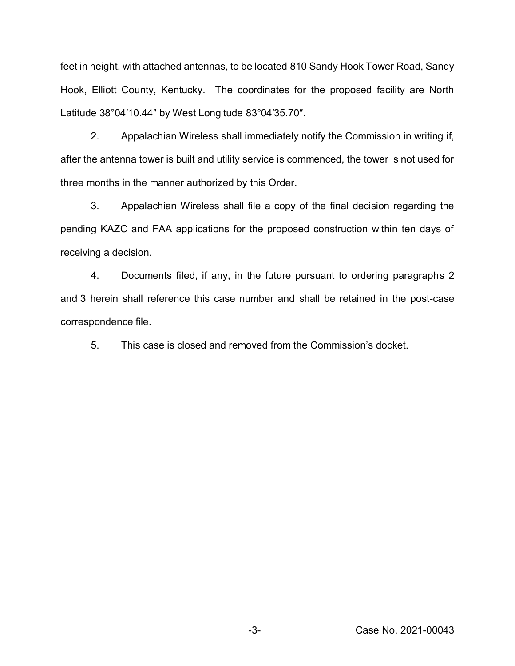feet in height, with attached antennas, to be located 810 Sandy Hook Tower Road, Sandy Hook, Elliott County, Kentucky. The coordinates for the proposed facility are North Latitude 38°04′10.44″ by West Longitude 83°04′35.70″.

2. Appalachian Wireless shall immediately notify the Commission in writing if, after the antenna tower is built and utility service is commenced, the tower is not used for three months in the manner authorized by this Order.

3. Appalachian Wireless shall file a copy of the final decision regarding the pending KAZC and FAA applications for the proposed construction within ten days of receiving a decision.

4. Documents filed, if any, in the future pursuant to ordering paragraphs 2 and 3 herein shall reference this case number and shall be retained in the post-case correspondence file.

5. This case is closed and removed from the Commission's docket.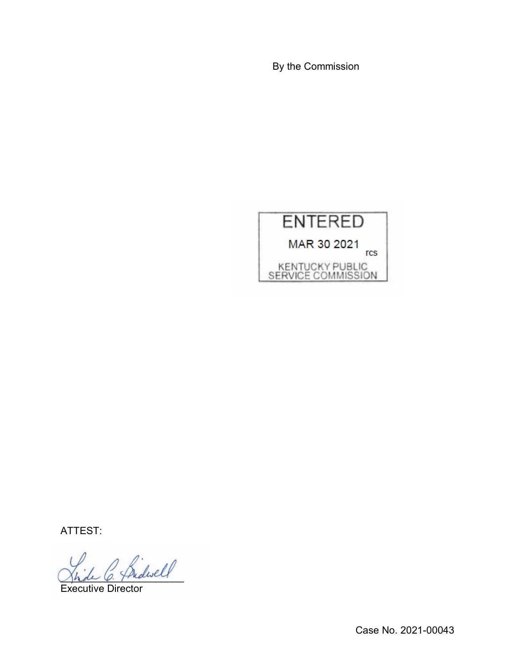By the Commission



ATTEST:

Bidwell

Executive Director

Case No. 2021-00043